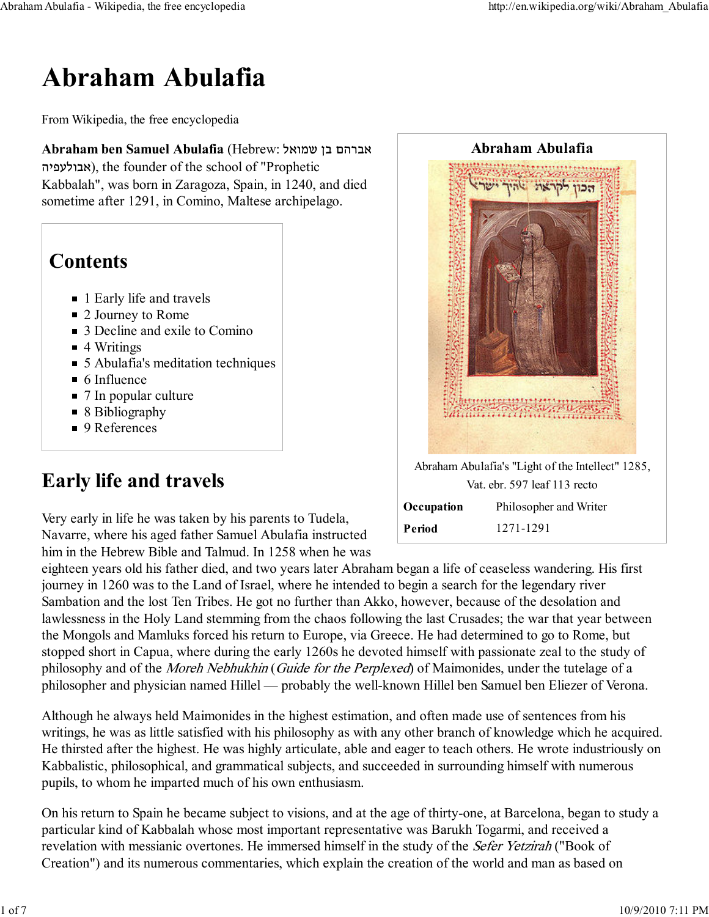# Abraham Abulafia

From Wikipedia, the free encyclopedia

Abraham ben Samuel Abulafia (Hebrew: אברהם בן שמואל אבולעפיה(, the founder of the school of "Prophetic Kabbalah", was born in Zaragoza, Spain, in 1240, and died sometime after 1291, in Comino, Maltese archipelago.

#### **Contents**

- 1 Early life and travels
- 2 Journey to Rome
- 3 Decline and exile to Comino
- 4 Writings
- 5 Abulafia's meditation techniques
- $\blacksquare$  6 Influence
- 7 In popular culture
- 8 Bibliography
- 9 References

### Early life and travels

Very early in life he was taken by his parents to Tudela, Navarre, where his aged father Samuel Abulafia instructed him in the Hebrew Bible and Talmud. In 1258 when he was



Abraham Abulafia's "Light of the Intellect" 1285, Vat. ebr. 597 leaf 113 recto

| Occupation | Philosopher and Writer |
|------------|------------------------|
| Period     | 1271-1291              |

eighteen years old his father died, and two years later Abraham began a life of ceaseless wandering. His first journey in 1260 was to the Land of Israel, where he intended to begin a search for the legendary river Sambation and the lost Ten Tribes. He got no further than Akko, however, because of the desolation and lawlessness in the Holy Land stemming from the chaos following the last Crusades; the war that year between the Mongols and Mamluks forced his return to Europe, via Greece. He had determined to go to Rome, but stopped short in Capua, where during the early 1260s he devoted himself with passionate zeal to the study of philosophy and of the Moreh Nebhukhin (Guide for the Perplexed) of Maimonides, under the tutelage of a philosopher and physician named Hillel — probably the well-known Hillel ben Samuel ben Eliezer of Verona.

Although he always held Maimonides in the highest estimation, and often made use of sentences from his writings, he was as little satisfied with his philosophy as with any other branch of knowledge which he acquired. He thirsted after the highest. He was highly articulate, able and eager to teach others. He wrote industriously on Kabbalistic, philosophical, and grammatical subjects, and succeeded in surrounding himself with numerous pupils, to whom he imparted much of his own enthusiasm.

On his return to Spain he became subject to visions, and at the age of thirty-one, at Barcelona, began to study a particular kind of Kabbalah whose most important representative was Barukh Togarmi, and received a revelation with messianic overtones. He immersed himself in the study of the Sefer Yetzirah ("Book of Creation") and its numerous commentaries, which explain the creation of the world and man as based on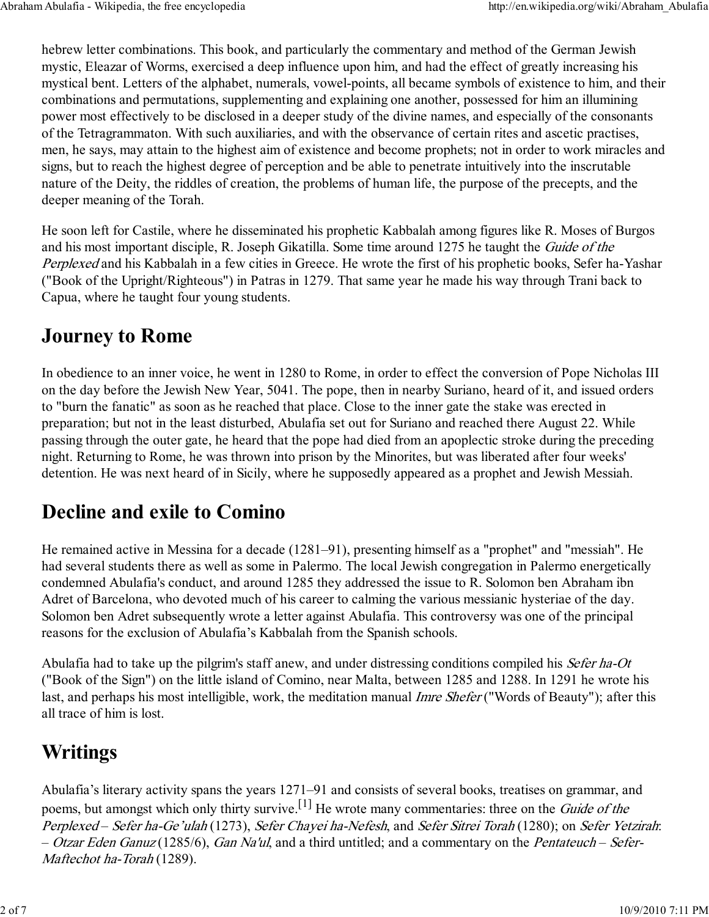hebrew letter combinations. This book, and particularly the commentary and method of the German Jewish mystic, Eleazar of Worms, exercised a deep influence upon him, and had the effect of greatly increasing his mystical bent. Letters of the alphabet, numerals, vowel-points, all became symbols of existence to him, and their combinations and permutations, supplementing and explaining one another, possessed for him an illumining power most effectively to be disclosed in a deeper study of the divine names, and especially of the consonants of the Tetragrammaton. With such auxiliaries, and with the observance of certain rites and ascetic practises, men, he says, may attain to the highest aim of existence and become prophets; not in order to work miracles and signs, but to reach the highest degree of perception and be able to penetrate intuitively into the inscrutable nature of the Deity, the riddles of creation, the problems of human life, the purpose of the precepts, and the deeper meaning of the Torah.

He soon left for Castile, where he disseminated his prophetic Kabbalah among figures like R. Moses of Burgos and his most important disciple, R. Joseph Gikatilla. Some time around 1275 he taught the Guide of the Perplexed and his Kabbalah in a few cities in Greece. He wrote the first of his prophetic books, Sefer ha-Yashar ("Book of the Upright/Righteous") in Patras in 1279. That same year he made his way through Trani back to Capua, where he taught four young students.

#### Journey to Rome

In obedience to an inner voice, he went in 1280 to Rome, in order to effect the conversion of Pope Nicholas III on the day before the Jewish New Year, 5041. The pope, then in nearby Suriano, heard of it, and issued orders to "burn the fanatic" as soon as he reached that place. Close to the inner gate the stake was erected in preparation; but not in the least disturbed, Abulafia set out for Suriano and reached there August 22. While passing through the outer gate, he heard that the pope had died from an apoplectic stroke during the preceding night. Returning to Rome, he was thrown into prison by the Minorites, but was liberated after four weeks' detention. He was next heard of in Sicily, where he supposedly appeared as a prophet and Jewish Messiah.

#### Decline and exile to Comino

He remained active in Messina for a decade (1281–91), presenting himself as a "prophet" and "messiah". He had several students there as well as some in Palermo. The local Jewish congregation in Palermo energetically condemned Abulafia's conduct, and around 1285 they addressed the issue to R. Solomon ben Abraham ibn Adret of Barcelona, who devoted much of his career to calming the various messianic hysteriae of the day. Solomon ben Adret subsequently wrote a letter against Abulafia. This controversy was one of the principal reasons for the exclusion of Abulafia's Kabbalah from the Spanish schools.

Abulafia had to take up the pilgrim's staff anew, and under distressing conditions compiled his Sefer ha-Ot ("Book of the Sign") on the little island of Comino, near Malta, between 1285 and 1288. In 1291 he wrote his last, and perhaps his most intelligible, work, the meditation manual *Imre Shefer* ("Words of Beauty"); after this all trace of him is lost.

#### **Writings**

Abulafia's literary activity spans the years 1271–91 and consists of several books, treatises on grammar, and poems, but amongst which only thirty survive.<sup>[1]</sup> He wrote many commentaries: three on the *Guide of the* Perplexed – Sefer ha-Ge'ulah (1273), Sefer Chayei ha-Nefesh, and Sefer Sitrei Torah (1280); on Sefer Yetzirah: – Otzar Eden Ganuz (1285/6), Gan Na'ul, and a third untitled; and a commentary on the Pentateuch – Sefer-Maftechot ha-Torah (1289).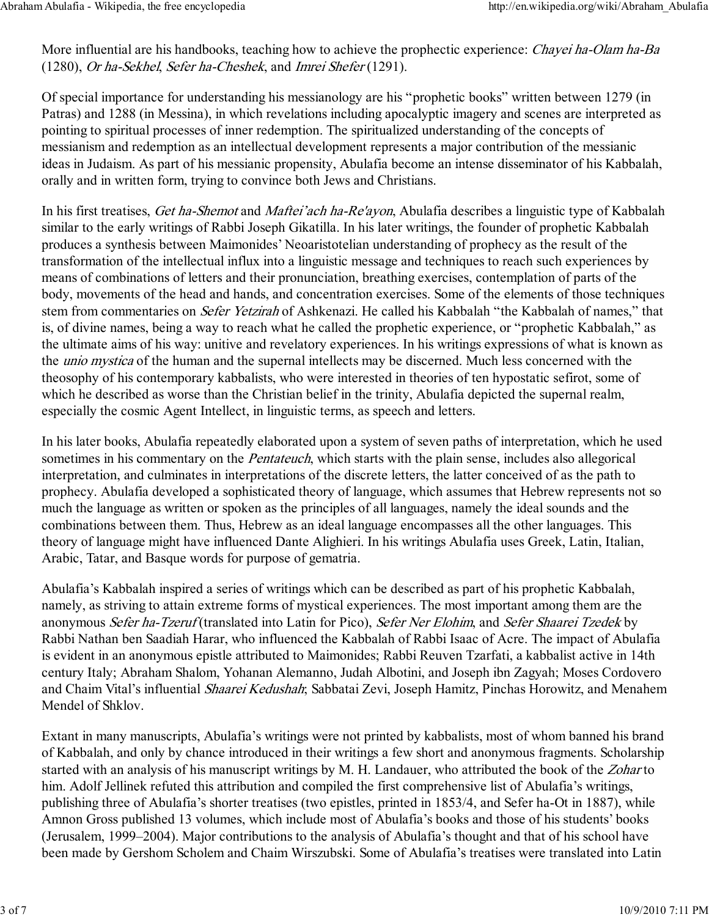More influential are his handbooks, teaching how to achieve the prophectic experience: *Chayei ha-Olam ha-Ba* (1280), Or ha-Sekhel, Sefer ha-Cheshek, and Imrei Shefer (1291).

Of special importance for understanding his messianology are his "prophetic books" written between 1279 (in Patras) and 1288 (in Messina), in which revelations including apocalyptic imagery and scenes are interpreted as pointing to spiritual processes of inner redemption. The spiritualized understanding of the concepts of messianism and redemption as an intellectual development represents a major contribution of the messianic ideas in Judaism. As part of his messianic propensity, Abulafia become an intense disseminator of his Kabbalah, orally and in written form, trying to convince both Jews and Christians.

In his first treatises, Get ha-Shemot and Maftei'ach ha-Re'ayon, Abulafia describes a linguistic type of Kabbalah similar to the early writings of Rabbi Joseph Gikatilla. In his later writings, the founder of prophetic Kabbalah produces a synthesis between Maimonides' Neoaristotelian understanding of prophecy as the result of the transformation of the intellectual influx into a linguistic message and techniques to reach such experiences by means of combinations of letters and their pronunciation, breathing exercises, contemplation of parts of the body, movements of the head and hands, and concentration exercises. Some of the elements of those techniques stem from commentaries on Sefer Yetzirah of Ashkenazi. He called his Kabbalah "the Kabbalah of names," that is, of divine names, being a way to reach what he called the prophetic experience, or "prophetic Kabbalah," as the ultimate aims of his way: unitive and revelatory experiences. In his writings expressions of what is known as the unio mystica of the human and the supernal intellects may be discerned. Much less concerned with the theosophy of his contemporary kabbalists, who were interested in theories of ten hypostatic sefirot, some of which he described as worse than the Christian belief in the trinity, Abulafia depicted the supernal realm, especially the cosmic Agent Intellect, in linguistic terms, as speech and letters.

In his later books, Abulafia repeatedly elaborated upon a system of seven paths of interpretation, which he used sometimes in his commentary on the *Pentateuch*, which starts with the plain sense, includes also allegorical interpretation, and culminates in interpretations of the discrete letters, the latter conceived of as the path to prophecy. Abulafia developed a sophisticated theory of language, which assumes that Hebrew represents not so much the language as written or spoken as the principles of all languages, namely the ideal sounds and the combinations between them. Thus, Hebrew as an ideal language encompasses all the other languages. This theory of language might have influenced Dante Alighieri. In his writings Abulafia uses Greek, Latin, Italian, Arabic, Tatar, and Basque words for purpose of gematria.

Abulafia's Kabbalah inspired a series of writings which can be described as part of his prophetic Kabbalah, namely, as striving to attain extreme forms of mystical experiences. The most important among them are the anonymous Sefer ha-Tzeruf (translated into Latin for Pico), Sefer Ner Elohim, and Sefer Shaarei Tzedek by Rabbi Nathan ben Saadiah Harar, who influenced the Kabbalah of Rabbi Isaac of Acre. The impact of Abulafia is evident in an anonymous epistle attributed to Maimonides; Rabbi Reuven Tzarfati, a kabbalist active in 14th century Italy; Abraham Shalom, Yohanan Alemanno, Judah Albotini, and Joseph ibn Zagyah; Moses Cordovero and Chaim Vital's influential Shaarei Kedushah; Sabbatai Zevi, Joseph Hamitz, Pinchas Horowitz, and Menahem Mendel of Shklov.

Extant in many manuscripts, Abulafia's writings were not printed by kabbalists, most of whom banned his brand of Kabbalah, and only by chance introduced in their writings a few short and anonymous fragments. Scholarship started with an analysis of his manuscript writings by M. H. Landauer, who attributed the book of the Zohar to him. Adolf Jellinek refuted this attribution and compiled the first comprehensive list of Abulafia's writings, publishing three of Abulafia's shorter treatises (two epistles, printed in 1853/4, and Sefer ha-Ot in 1887), while Amnon Gross published 13 volumes, which include most of Abulafia's books and those of his students' books (Jerusalem, 1999–2004). Major contributions to the analysis of Abulafia's thought and that of his school have been made by Gershom Scholem and Chaim Wirszubski. Some of Abulafia's treatises were translated into Latin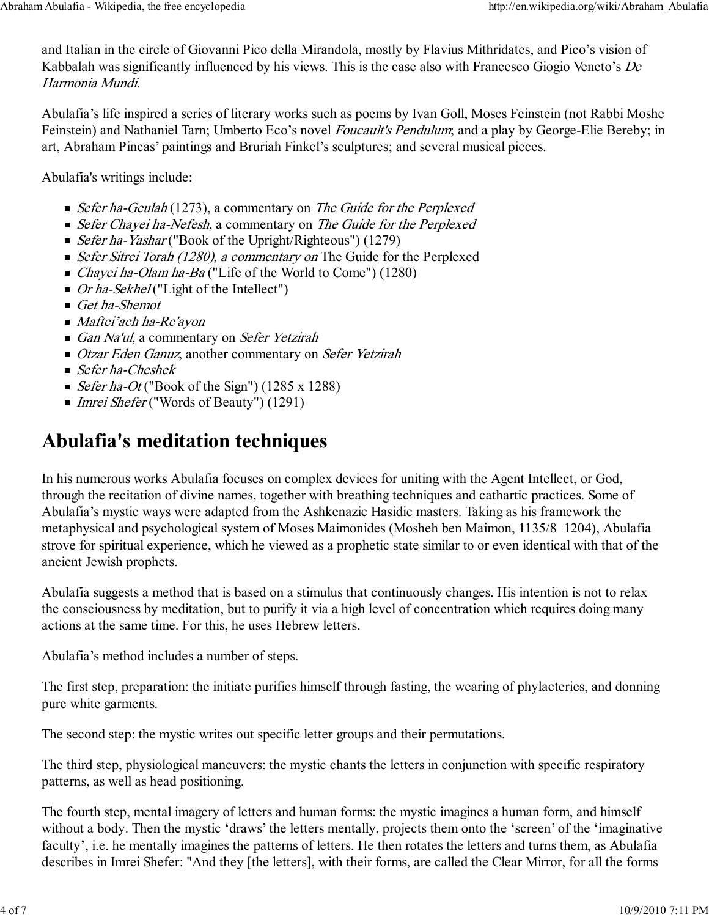and Italian in the circle of Giovanni Pico della Mirandola, mostly by Flavius Mithridates, and Pico's vision of Kabbalah was significantly influenced by his views. This is the case also with Francesco Giogio Veneto's De Harmonia Mundi.

Abulafia's life inspired a series of literary works such as poems by Ivan Goll, Moses Feinstein (not Rabbi Moshe Feinstein) and Nathaniel Tarn; Umberto Eco's novel *Foucault's Pendulum*; and a play by George-Elie Bereby; in art, Abraham Pincas' paintings and Bruriah Finkel's sculptures; and several musical pieces.

Abulafia's writings include:

- Sefer ha-Geulah (1273), a commentary on The Guide for the Perplexed
- Sefer Chayei ha-Nefesh, a commentary on The Guide for the Perplexed
- *Sefer ha-Yashar* ("Book of the Upright/Righteous") (1279)
- Sefer Sitrei Torah (1280), a commentary on The Guide for the Perplexed
- Chayei ha-Olam ha-Ba ("Life of the World to Come") (1280)
- *Or ha-Sekhel* ("Light of the Intellect")
- Get ha-Shemot
- *Maftei'ach ha-Re'ayon*
- Gan Na'ul, a commentary on Sefer Yetzirah
- Otzar Eden Ganuz, another commentary on Sefer Yetzirah
- $\blacksquare$  Sefer ha-Cheshek
- Sefer ha-Ot ("Book of the Sign") (1285 x 1288)
- Imrei Shefer ("Words of Beauty") (1291)

#### Abulafia's meditation techniques

In his numerous works Abulafia focuses on complex devices for uniting with the Agent Intellect, or God, through the recitation of divine names, together with breathing techniques and cathartic practices. Some of Abulafia's mystic ways were adapted from the Ashkenazic Hasidic masters. Taking as his framework the metaphysical and psychological system of Moses Maimonides (Mosheh ben Maimon, 1135/8–1204), Abulafia strove for spiritual experience, which he viewed as a prophetic state similar to or even identical with that of the ancient Jewish prophets.

Abulafia suggests a method that is based on a stimulus that continuously changes. His intention is not to relax the consciousness by meditation, but to purify it via a high level of concentration which requires doing many actions at the same time. For this, he uses Hebrew letters.

Abulafia's method includes a number of steps.

The first step, preparation: the initiate purifies himself through fasting, the wearing of phylacteries, and donning pure white garments.

The second step: the mystic writes out specific letter groups and their permutations.

The third step, physiological maneuvers: the mystic chants the letters in conjunction with specific respiratory patterns, as well as head positioning.

The fourth step, mental imagery of letters and human forms: the mystic imagines a human form, and himself without a body. Then the mystic 'draws' the letters mentally, projects them onto the 'screen' of the 'imaginative faculty', i.e. he mentally imagines the patterns of letters. He then rotates the letters and turns them, as Abulafia describes in Imrei Shefer: "And they [the letters], with their forms, are called the Clear Mirror, for all the forms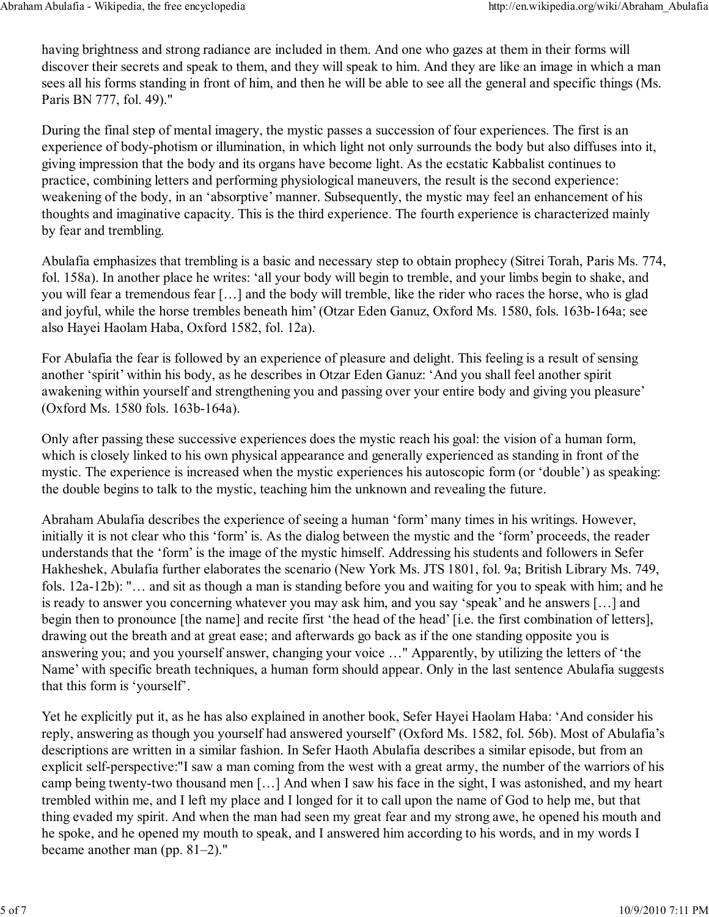having brightness and strong radiance are included in them. And one who gazes at them in their forms will discover their secrets and speak to them, and they will speak to him. And they are like an image in which a man sees all his forms standing in front of him, and then he will be able to see all the general and specific things (Ms. Paris BN 777, fol. 49)."

During the final step of mental imagery, the mystic passes a succession of four experiences. The first is an experience of body-photism or illumination, in which light not only surrounds the body but also diffuses into it, giving impression that the body and its organs have become light. As the ecstatic Kabbalist continues to practice, combining letters and performing physiological maneuvers, the result is the second experience: weakening of the body, in an 'absorptive' manner. Subsequently, the mystic may feel an enhancement of his thoughts and imaginative capacity. This is the third experience. The fourth experience is characterized mainly by fear and trembling.

Abulafia emphasizes that trembling is a basic and necessary step to obtain prophecy (Sitrei Torah, Paris Ms. 774, fol. 158a). In another place he writes: 'all your body will begin to tremble, and your limbs begin to shake, and you will fear a tremendous fear […] and the body will tremble, like the rider who races the horse, who is glad and joyful, while the horse trembles beneath him' (Otzar Eden Ganuz, Oxford Ms. 1580, fols. 163b-164a; see also Hayei Haolam Haba, Oxford 1582, fol. 12a).

For Abulafia the fear is followed by an experience of pleasure and delight. This feeling is a result of sensing another 'spirit' within his body, as he describes in Otzar Eden Ganuz: 'And you shall feel another spirit awakening within yourself and strengthening you and passing over your entire body and giving you pleasure' (Oxford Ms. 1580 fols. 163b-164a).

Only after passing these successive experiences does the mystic reach his goal: the vision of a human form, which is closely linked to his own physical appearance and generally experienced as standing in front of the mystic. The experience is increased when the mystic experiences his autoscopic form (or 'double') as speaking: the double begins to talk to the mystic, teaching him the unknown and revealing the future.

Abraham Abulafia describes the experience of seeing a human 'form' many times in his writings. However, initially it is not clear who this 'form' is. As the dialog between the mystic and the 'form' proceeds, the reader understands that the 'form' is the image of the mystic himself. Addressing his students and followers in Sefer Hakheshek, Abulafia further elaborates the scenario (New York Ms. JTS 1801, fol. 9a; British Library Ms. 749, fols. 12a-12b): "… and sit as though a man is standing before you and waiting for you to speak with him; and he is ready to answer you concerning whatever you may ask him, and you say 'speak' and he answers […] and begin then to pronounce [the name] and recite first 'the head of the head' [i.e. the first combination of letters], drawing out the breath and at great ease; and afterwards go back as if the one standing opposite you is answering you; and you yourself answer, changing your voice …" Apparently, by utilizing the letters of 'the Name' with specific breath techniques, a human form should appear. Only in the last sentence Abulafia suggests that this form is 'yourself'.

Yet he explicitly put it, as he has also explained in another book, Sefer Hayei Haolam Haba: 'And consider his reply, answering as though you yourself had answered yourself' (Oxford Ms. 1582, fol. 56b). Most of Abulafia's descriptions are written in a similar fashion. In Sefer Haoth Abulafia describes a similar episode, but from an explicit self-perspective:"I saw a man coming from the west with a great army, the number of the warriors of his camp being twenty-two thousand men […] And when I saw his face in the sight, I was astonished, and my heart trembled within me, and I left my place and I longed for it to call upon the name of God to help me, but that thing evaded my spirit. And when the man had seen my great fear and my strong awe, he opened his mouth and he spoke, and he opened my mouth to speak, and I answered him according to his words, and in my words I became another man (pp. 81–2)."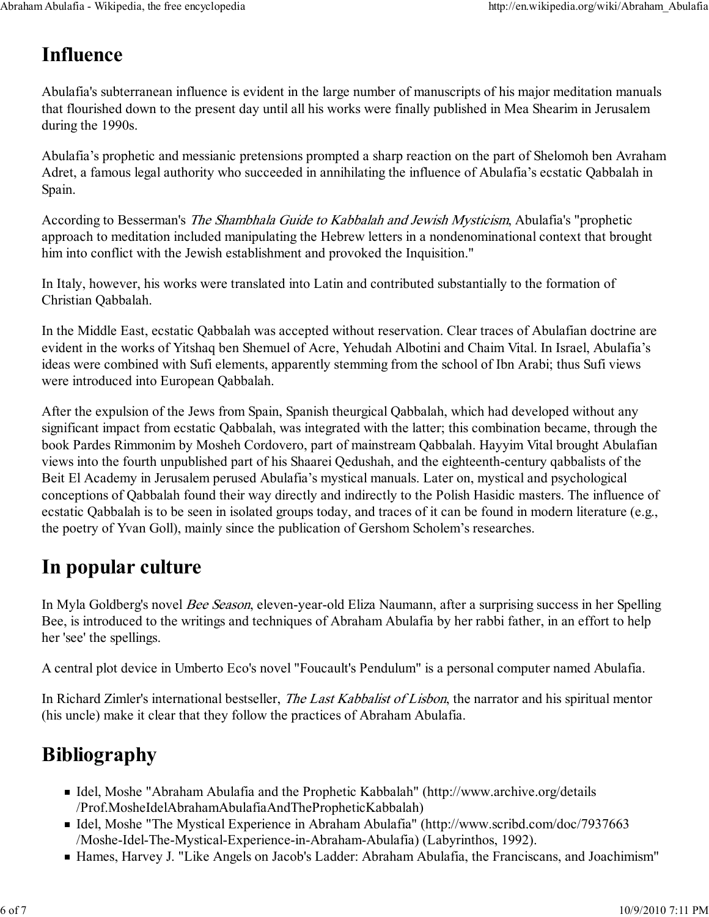#### Influence

Abulafia's subterranean influence is evident in the large number of manuscripts of his major meditation manuals that flourished down to the present day until all his works were finally published in Mea Shearim in Jerusalem during the 1990s.

Abulafia's prophetic and messianic pretensions prompted a sharp reaction on the part of Shelomoh ben Avraham Adret, a famous legal authority who succeeded in annihilating the influence of Abulafia's ecstatic Qabbalah in Spain.

According to Besserman's The Shambhala Guide to Kabbalah and Jewish Mysticism, Abulafia's "prophetic approach to meditation included manipulating the Hebrew letters in a nondenominational context that brought him into conflict with the Jewish establishment and provoked the Inquisition."

In Italy, however, his works were translated into Latin and contributed substantially to the formation of Christian Qabbalah.

In the Middle East, ecstatic Qabbalah was accepted without reservation. Clear traces of Abulafian doctrine are evident in the works of Yitshaq ben Shemuel of Acre, Yehudah Albotini and Chaim Vital. In Israel, Abulafia's ideas were combined with Sufi elements, apparently stemming from the school of Ibn Arabi; thus Sufi views were introduced into European Qabbalah.

After the expulsion of the Jews from Spain, Spanish theurgical Qabbalah, which had developed without any significant impact from ecstatic Qabbalah, was integrated with the latter; this combination became, through the book Pardes Rimmonim by Mosheh Cordovero, part of mainstream Qabbalah. Hayyim Vital brought Abulafian views into the fourth unpublished part of his Shaarei Qedushah, and the eighteenth-century qabbalists of the Beit El Academy in Jerusalem perused Abulafia's mystical manuals. Later on, mystical and psychological conceptions of Qabbalah found their way directly and indirectly to the Polish Hasidic masters. The influence of ecstatic Qabbalah is to be seen in isolated groups today, and traces of it can be found in modern literature (e.g., the poetry of Yvan Goll), mainly since the publication of Gershom Scholem's researches.

### In popular culture

In Myla Goldberg's novel Bee Season, eleven-year-old Eliza Naumann, after a surprising success in her Spelling Bee, is introduced to the writings and techniques of Abraham Abulafia by her rabbi father, in an effort to help her 'see' the spellings.

A central plot device in Umberto Eco's novel "Foucault's Pendulum" is a personal computer named Abulafia.

In Richard Zimler's international bestseller, *The Last Kabbalist of Lisbon*, the narrator and his spiritual mentor (his uncle) make it clear that they follow the practices of Abraham Abulafia.

## Bibliography

- Idel, Moshe "Abraham Abulafia and the Prophetic Kabbalah" (http://www.archive.org/details /Prof.MosheIdelAbrahamAbulafiaAndThePropheticKabbalah)
- Idel, Moshe "The Mystical Experience in Abraham Abulafia" (http://www.scribd.com/doc/7937663 /Moshe-Idel-The-Mystical-Experience-in-Abraham-Abulafia) (Labyrinthos, 1992).
- Hames, Harvey J. "Like Angels on Jacob's Ladder: Abraham Abulafia, the Franciscans, and Joachimism"